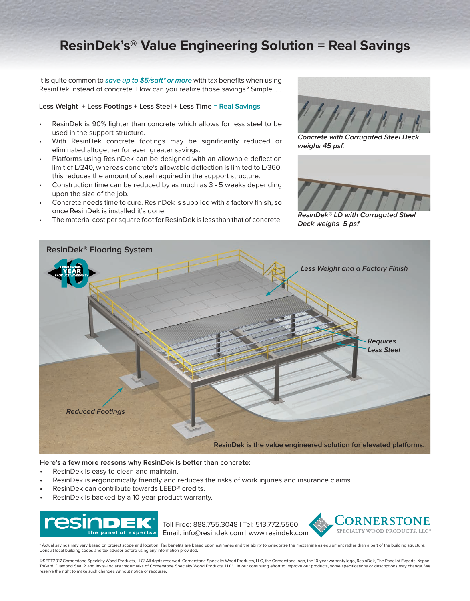# **ResinDek's® Value Engineering Solution = Real Savings**

It is quite common to **save up to \$5/sqft\* or more** with tax benefits when using ResinDek instead of concrete. How can you realize those savings? Simple. . .

#### **Less Weight + Less Footings + Less Steel + Less Time = Real Savings**

- ResinDek is 90% lighter than concrete which allows for less steel to be used in the support structure.
- With ResinDek concrete footings may be significantly reduced or eliminated altogether for even greater savings.
- Platforms using ResinDek can be designed with an allowable deflection limit of L/240, whereas concrete's allowable deflection is limited to L/360: this reduces the amount of steel required in the support structure.
- Construction time can be reduced by as much as 3 5 weeks depending upon the size of the job.
- Concrete needs time to cure. ResinDek is supplied with a factory finish, so once ResinDek is installed it's done.
- The material cost per square foot for ResinDek is less than that of concrete.



**Concrete with Corrugated Steel Deck weighs 45 psf.**



**ResinDek® LD with Corrugated Steel Deck weighs 5 psf**



#### **Here's a few more reasons why ResinDek is better than concrete:**

- ResinDek is easy to clean and maintain.
- ResinDek is ergonomically friendly and reduces the risks of work injuries and insurance claims.
- ResinDek can contribute towards LEED® credits.
- ResinDek is backed by a 10-year product warranty.



ORNERSTONE Toll Free: 888.755.3048 | Tel: 513.772.5560 SPECIALTY WOOD PRODUCTS, LLC Email: info@resindek.com | www.resindek.com

Actual savings may vary based on project scope and location. Tax benefits are based upon estimates and the ability to categorize the mezzanine as equipment rather than a part of the building structure. Consult local building codes and tax advisor before using any information provided.

©SEPT2017 Cornerstone Specialty Wood Products, LLC® All rights reserved. Cornerstone Specialty Wood Products, LLC, the Cornerstone logo, the 10-year warranty logo, ResinDek, The Panel of Experts, Xspan, TriGard, Diamond Seal 2 and Invisi-Loc are trademarks of Cornerstone Specialty Wood Products, LLC®. In our continuing effort to improve our products, some specifications or descriptions may change. We<br>reserve the right to